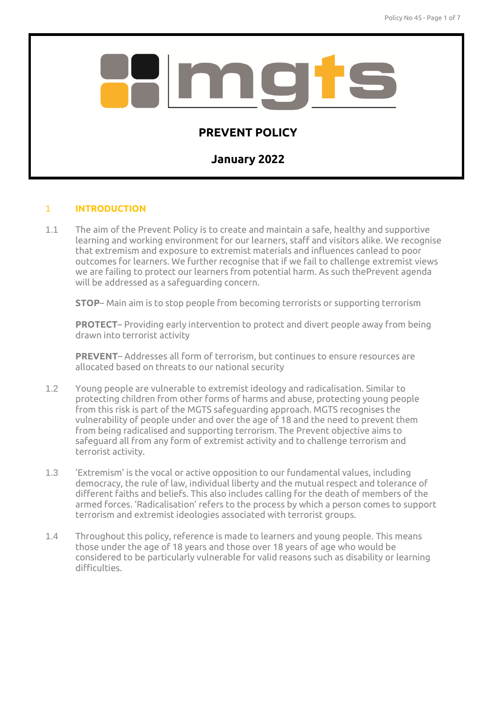

# 1 **INTRODUCTION**

1.1 The aim of the Prevent Policy is to create and maintain a safe, healthy and supportive learning and working environment for our learners, staff and visitors alike. We recognise that extremism and exposure to extremist materials and influences canlead to poor outcomes for learners. We further recognise that if we fail to challenge extremist views we are failing to protect our learners from potential harm. As such thePrevent agenda will be addressed as a safeguarding concern.

**STOP**– Main aim is to stop people from becoming terrorists or supporting terrorism

**PROTECT**– Providing early intervention to protect and divert people away from being drawn into terrorist activity

**PREVENT**– Addresses all form of terrorism, but continues to ensure resources are allocated based on threats to our national security

- 1.2 Young people are vulnerable to extremist ideology and radicalisation. Similar to protecting children from other forms of harms and abuse, protecting young people from this risk is part of the MGTS safeguarding approach. MGTS recognises the vulnerability of people under and over the age of 18 and the need to prevent them from being radicalised and supporting terrorism. The Prevent objective aims to safeguard all from any form of extremist activity and to challenge terrorism and terrorist activity.
- 1.3 'Extremism' is the vocal or active opposition to our fundamental values, including democracy, the rule of law, individual liberty and the mutual respect and tolerance of different faiths and beliefs. This also includes calling for the death of members of the armed forces. 'Radicalisation' refers to the process by which a person comes to support terrorism and extremist ideologies associated with terrorist groups.
- 1.4 Throughout this policy, reference is made to learners and young people. This means those under the age of 18 years and those over 18 years of age who would be considered to be particularly vulnerable for valid reasons such as disability or learning difficulties.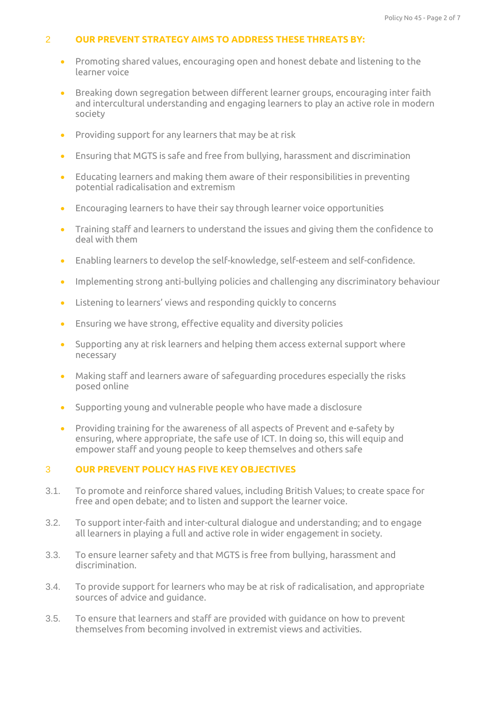# 2 **OUR PREVENT STRATEGY AIMS TO ADDRESS THESE THREATS BY:**

- Promoting shared values, encouraging open and honest debate and listening to the learner voice
- Breaking down segregation between different learner groups, encouraging inter faith and intercultural understanding and engaging learners to play an active role in modern society
- Providing support for any learners that may be at risk
- Ensuring that MGTS is safe and free from bullying, harassment and discrimination
- Educating learners and making them aware of their responsibilities in preventing potential radicalisation and extremism
- Encouraging learners to have their say through learner voice opportunities
- Training staff and learners to understand the issues and giving them the confidence to deal with them
- Enabling learners to develop the self-knowledge, self-esteem and self-confidence.
- Implementing strong anti-bullying policies and challenging any discriminatory behaviour
- Listening to learners' views and responding quickly to concerns
- Ensuring we have strong, effective equality and diversity policies
- Supporting any at risk learners and helping them access external support where necessary
- Making staff and learners aware of safeguarding procedures especially the risks posed online
- Supporting young and vulnerable people who have made a disclosure
- Providing training for the awareness of all aspects of Prevent and e-safety by ensuring, where appropriate, the safe use of ICT. In doing so, this will equip and empower staff and young people to keep themselves and others safe

# 3 **OUR PREVENT POLICY HAS FIVE KEY OBJECTIVES**

- 3.1. To promote and reinforce shared values, including British Values; to create space for free and open debate; and to listen and support the learner voice.
- 3.2. To support inter-faith and inter-cultural dialogue and understanding; and to engage all learners in playing a full and active role in wider engagement in society.
- 3.3. To ensure learner safety and that MGTS is free from bullying, harassment and discrimination.
- 3.4. To provide support for learners who may be at risk of radicalisation, and appropriate sources of advice and guidance.
- 3.5. To ensure that learners and staff are provided with guidance on how to prevent themselves from becoming involved in extremist views and activities.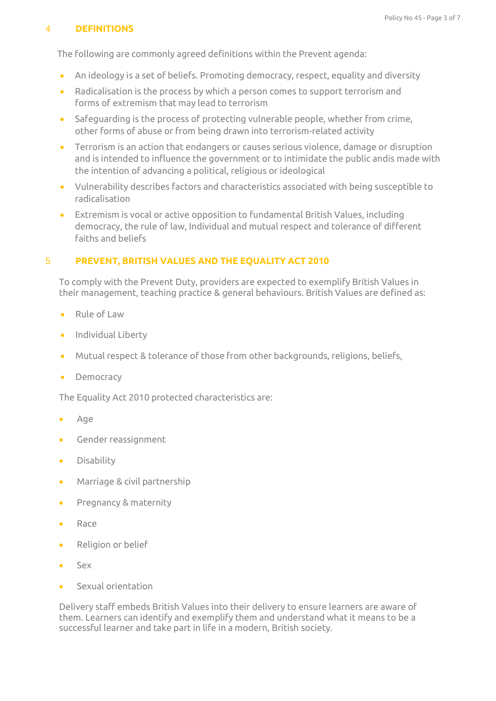# 4 **DEFINITIONS**

The following are commonly agreed definitions within the Prevent agenda:

- An ideology is a set of beliefs. Promoting democracy, respect, equality and diversity
- Radicalisation is the process by which a person comes to support terrorism and forms of extremism that may lead to terrorism
- Safeguarding is the process of protecting vulnerable people, whether from crime, other forms of abuse or from being drawn into terrorism-related activity
- Terrorism is an action that endangers or causes serious violence, damage or disruption and is intended to influence the government or to intimidate the public andis made with the intention of advancing a political, religious or ideological
- Vulnerability describes factors and characteristics associated with being susceptible to radicalisation
- Extremism is vocal or active opposition to fundamental British Values, including democracy, the rule of law, Individual and mutual respect and tolerance of different faiths and beliefs

# 5 **PREVENT, BRITISH VALUES AND THE EQUALITY ACT 2010**

To comply with the Prevent Duty, providers are expected to exemplify British Values in their management, teaching practice & general behaviours. British Values are defined as:

- Rule of Law
- **•** Individual Liberty
- Mutual respect & tolerance of those from other backgrounds, religions, beliefs,
- Democracy

The Equality Act 2010 protected characteristics are:

- Age
- Gender reassignment
- **•** Disability
- Marriage & civil partnership
- **•** Pregnancy & maternity
- Race
- Religion or belief
- Sex
- Sexual orientation

Delivery staff embeds British Values into their delivery to ensure learners are aware of them. Learners can identify and exemplify them and understand what it means to be a successful learner and take part in life in a modern, British society.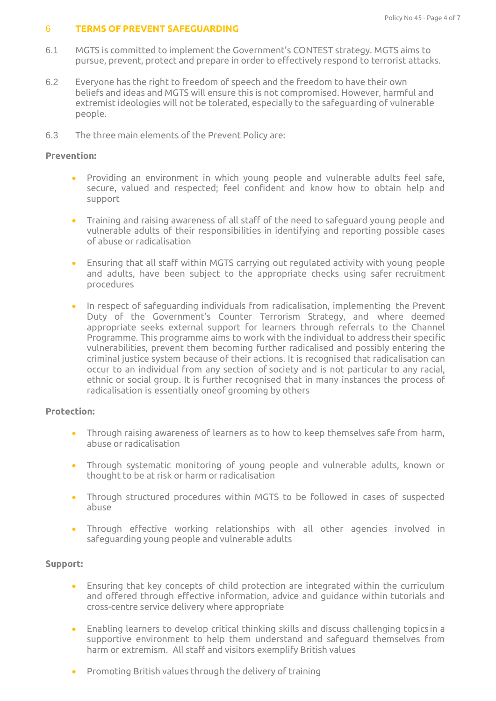#### 6 **TERMS OF PREVENT SAFEGUARDING**

- 6.1 MGTS is committed to implement the Government's CONTEST strategy. MGTS aims to pursue, prevent, protect and prepare in order to effectively respond to terrorist attacks.
- 6.2 Everyone has the right to freedom of speech and the freedom to have their own beliefs and ideas and MGTS will ensure this is not compromised. However, harmful and extremist ideologies will not be tolerated, especially to the safeguarding of vulnerable people.
- 6.3 The three main elements of the Prevent Policy are:

## **Prevention:**

- Providing an environment in which young people and vulnerable adults feel safe, secure, valued and respected; feel confident and know how to obtain help and support
- Training and raising awareness of all staff of the need to safeguard young people and vulnerable adults of their responsibilities in identifying and reporting possible cases of abuse or radicalisation
- Ensuring that all staff within MGTS carrying out regulated activity with young people and adults, have been subject to the appropriate checks using safer recruitment procedures
- In respect of safeguarding individuals from radicalisation, implementing the Prevent Duty of the Government's Counter Terrorism Strategy, and where deemed appropriate seeks external support for learners through referrals to the Channel Programme. This programme aims to work with the individual to address their specific vulnerabilities, prevent them becoming further radicalised and possibly entering the criminal justice system because of their actions. It is recognised that radicalisation can occur to an individual from any section of society and is not particular to any racial, ethnic or social group. It is further recognised that in many instances the process of radicalisation is essentially oneof grooming by others

# **Protection:**

- Through raising awareness of learners as to how to keep themselves safe from harm, abuse or radicalisation
- Through systematic monitoring of young people and vulnerable adults, known or thought to be at risk or harm or radicalisation
- Through structured procedures within MGTS to be followed in cases of suspected abuse
- Through effective working relationships with all other agencies involved in safeguarding young people and vulnerable adults

# **Support:**

- Ensuring that key concepts of child protection are integrated within the curriculum and offered through effective information, advice and guidance within tutorials and cross-centre service delivery where appropriate
- Enabling learners to develop critical thinking skills and discuss challenging topics in a supportive environment to help them understand and safeguard themselves from harm or extremism. All staff and visitors exemplify British values
- Promoting British values through the delivery of training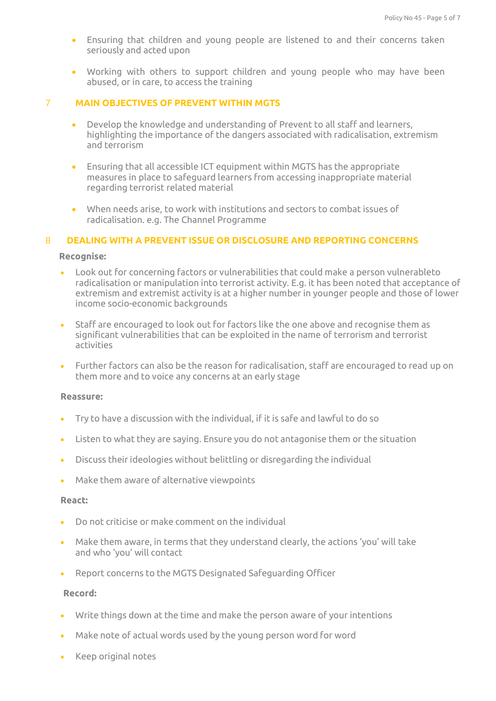- Ensuring that children and young people are listened to and their concerns taken seriously and acted upon
- Working with others to support children and young people who may have been abused, or in care, to access the training

#### 7 **MAIN OBJECTIVES OF PREVENT WITHIN MGTS**

- Develop the knowledge and understanding of Prevent to all staff and learners, highlighting the importance of the dangers associated with radicalisation, extremism and terrorism
- Ensuring that all accessible ICT equipment within MGTS has the appropriate measures in place to safeguard learners from accessing inappropriate material regarding terrorist related material
- When needs arise, to work with institutions and sectors to combat issues of radicalisation. e.g. The Channel Programme

## 8 **DEALING WITH A PREVENT ISSUE OR DISCLOSURE AND REPORTING CONCERNS**

#### **Recognise:**

- Look out for concerning factors or vulnerabilities that could make a person vulnerableto radicalisation or manipulation into terrorist activity. E.g. it has been noted that acceptance of extremism and extremist activity is at a higher number in younger people and those of lower income socio-economic backgrounds
- Staff are encouraged to look out for factors like the one above and recognise them as significant vulnerabilities that can be exploited in the name of terrorism and terrorist activities
- Further factors can also be the reason for radicalisation, staff are encouraged to read up on them more and to voice any concerns at an early stage

#### **Reassure:**

- Try to have a discussion with the individual, if it is safe and lawful to do so
- Listen to what they are saying. Ensure you do not antagonise them or the situation
- Discuss their ideologies without belittling or disregarding the individual
- Make them aware of alternative viewpoints

#### **React:**

- Do not criticise or make comment on the individual
- Make them aware, in terms that they understand clearly, the actions 'you' will take and who 'you' will contact
- Report concerns to the MGTS Designated Safeguarding Officer

#### **Record:**

- Write things down at the time and make the person aware of your intentions
- Make note of actual words used by the young person word for word
- Keep original notes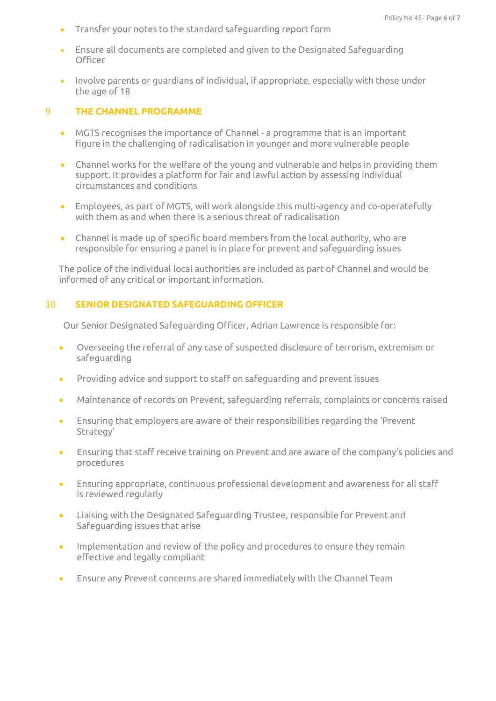- Transfer your notes to the standard safeguarding report form
- Ensure all documents are completed and given to the Designated Safeguarding **Officer**
- Involve parents or guardians of individual, if appropriate, especially with those under the age of 18

## 9 **THE CHANNEL PROGRAMME**

- MGTS recognises the importance of Channel a programme that is an important figure in the challenging of radicalisation in younger and more vulnerable people
- Channel works for the welfare of the young and vulnerable and helps in providing them support. It provides a platform for fair and lawful action by assessing individual circumstances and conditions
- Employees, as part of MGTS, will work alongside this multi-agency and co-operatefully with them as and when there is a serious threat of radicalisation
- Channel is made up of specific board members from the local authority, who are responsible for ensuring a panel is in place for prevent and safeguarding issues

The police of the individual local authorities are included as part of Channel and would be informed of any critical or important information.

## 10 **SENIOR DESIGNATED SAFEGUARDING OFFICER**

Our Senior Designated Safeguarding Officer, Adrian Lawrence is responsible for:

- Overseeing the referral of any case of suspected disclosure of terrorism, extremism or safeguarding
- Providing advice and support to staff on safeguarding and prevent issues
- Maintenance of records on Prevent, safeguarding referrals, complaints or concerns raised
- Ensuring that employers are aware of their responsibilities regarding the 'Prevent Strategy'
- Ensuring that staff receive training on Prevent and are aware of the company's policies and procedures
- Ensuring appropriate, continuous professional development and awareness for all staff is reviewed regularly
- Liaising with the Designated Safeguarding Trustee, responsible for Prevent and Safeguarding issues that arise
- Implementation and review of the policy and procedures to ensure they remain effective and legally compliant
- Ensure any Prevent concerns are shared immediately with the Channel Team